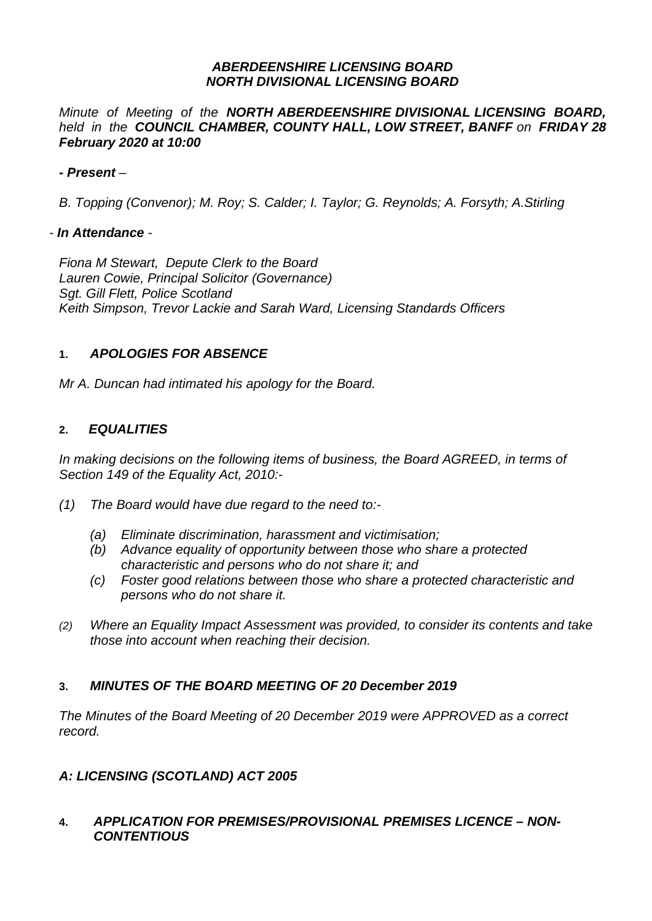#### *ABERDEENSHIRE LICENSING BOARD NORTH DIVISIONAL LICENSING BOARD*

*Minute of Meeting of the NORTH ABERDEENSHIRE DIVISIONAL LICENSING BOARD, held in the COUNCIL CHAMBER, COUNTY HALL, LOW STREET, BANFF on FRIDAY 28 February 2020 at 10:00* 

## *- Present –*

*B. Topping (Convenor); M. Roy; S. Calder; I. Taylor; G. Reynolds; A. Forsyth; A.Stirling* 

#### *- In Attendance -*

*Fiona M Stewart, Depute Clerk to the Board Lauren Cowie, Principal Solicitor (Governance) Sgt. Gill Flett, Police Scotland Keith Simpson, Trevor Lackie and Sarah Ward, Licensing Standards Officers* 

# **1.** *APOLOGIES FOR ABSENCE*

*Mr A. Duncan had intimated his apology for the Board.* 

## **2.** *EQUALITIES*

*In making decisions on the following items of business, the Board AGREED, in terms of Section 149 of the Equality Act, 2010:-* 

- *(1) The Board would have due regard to the need to:-* 
	- *(a) Eliminate discrimination, harassment and victimisation;*
	- *(b) Advance equality of opportunity between those who share a protected characteristic and persons who do not share it; and*
	- *(c) Foster good relations between those who share a protected characteristic and persons who do not share it.*
- *(2) Where an Equality Impact Assessment was provided, to consider its contents and take those into account when reaching their decision.*

# **3.** *MINUTES OF THE BOARD MEETING OF 20 December 2019*

*The Minutes of the Board Meeting of 20 December 2019 were APPROVED as a correct record.* 

#### *A: LICENSING (SCOTLAND) ACT 2005*

## **4.** *APPLICATION FOR PREMISES/PROVISIONAL PREMISES LICENCE – NON-CONTENTIOUS*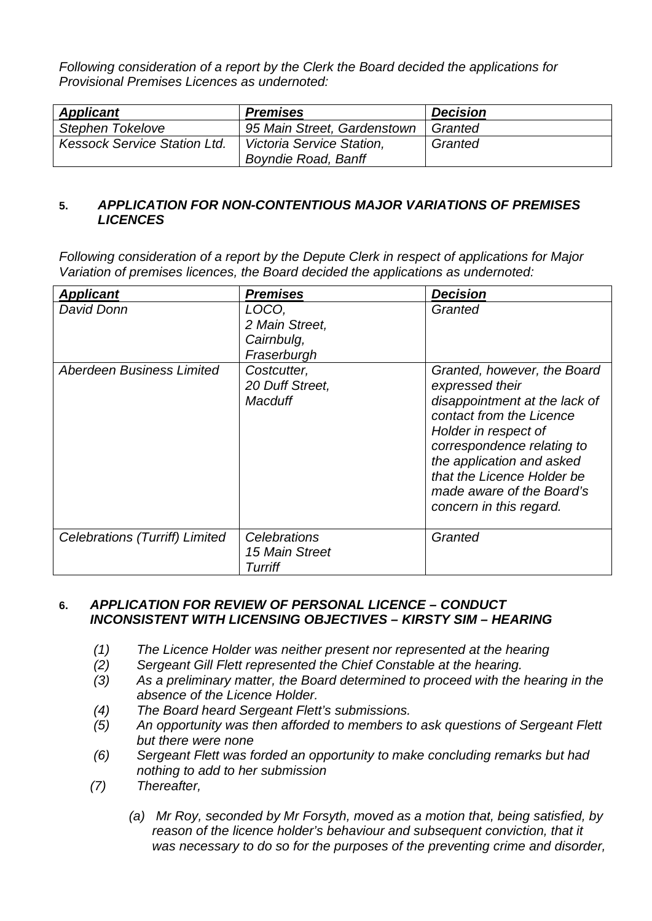*Following consideration of a report by the Clerk the Board decided the applications for Provisional Premises Licences as undernoted:* 

| <b>Applicant</b>                    | <b>Premises</b>             | <b>Decision</b> |
|-------------------------------------|-----------------------------|-----------------|
| Stephen Tokelove                    | 95 Main Street, Gardenstown | Granted         |
| <b>Kessock Service Station Ltd.</b> | Victoria Service Station,   | Granted         |
|                                     | <b>Boyndie Road, Banff</b>  |                 |

## **5.** *APPLICATION FOR NON-CONTENTIOUS MAJOR VARIATIONS OF PREMISES LICENCES*

*Following consideration of a report by the Depute Clerk in respect of applications for Major Variation of premises licences, the Board decided the applications as undernoted:* 

| <b>Applicant</b>                      | <b>Premises</b>                                      | <b>Decision</b>                                                                                                                                                                                                                                                                      |
|---------------------------------------|------------------------------------------------------|--------------------------------------------------------------------------------------------------------------------------------------------------------------------------------------------------------------------------------------------------------------------------------------|
| David Donn                            | LOCO,<br>2 Main Street,<br>Cairnbulg,<br>Fraserburgh | Granted                                                                                                                                                                                                                                                                              |
| Aberdeen Business Limited             | Costcutter,<br>20 Duff Street,<br>Macduff            | Granted, however, the Board<br>expressed their<br>disappointment at the lack of<br>contact from the Licence<br>Holder in respect of<br>correspondence relating to<br>the application and asked<br>that the Licence Holder be<br>made aware of the Board's<br>concern in this regard. |
| <b>Celebrations (Turriff) Limited</b> | Celebrations<br>15 Main Street<br>Turriff            | Granted                                                                                                                                                                                                                                                                              |

## **6.** *APPLICATION FOR REVIEW OF PERSONAL LICENCE – CONDUCT INCONSISTENT WITH LICENSING OBJECTIVES – KIRSTY SIM – HEARING*

- *(1) The Licence Holder was neither present nor represented at the hearing*
- *(2) Sergeant Gill Flett represented the Chief Constable at the hearing.*
- *(3) As a preliminary matter, the Board determined to proceed with the hearing in the absence of the Licence Holder.*
- *(4) The Board heard Sergeant Flett's submissions.*
- *(5) An opportunity was then afforded to members to ask questions of Sergeant Flett but there were none*
- *(6) Sergeant Flett was forded an opportunity to make concluding remarks but had nothing to add to her submission*
- *(7) Thereafter,* 
	- *(a) Mr Roy, seconded by Mr Forsyth, moved as a motion that, being satisfied, by*  reason of the licence holder's behaviour and subsequent conviction, that it *was necessary to do so for the purposes of the preventing crime and disorder,*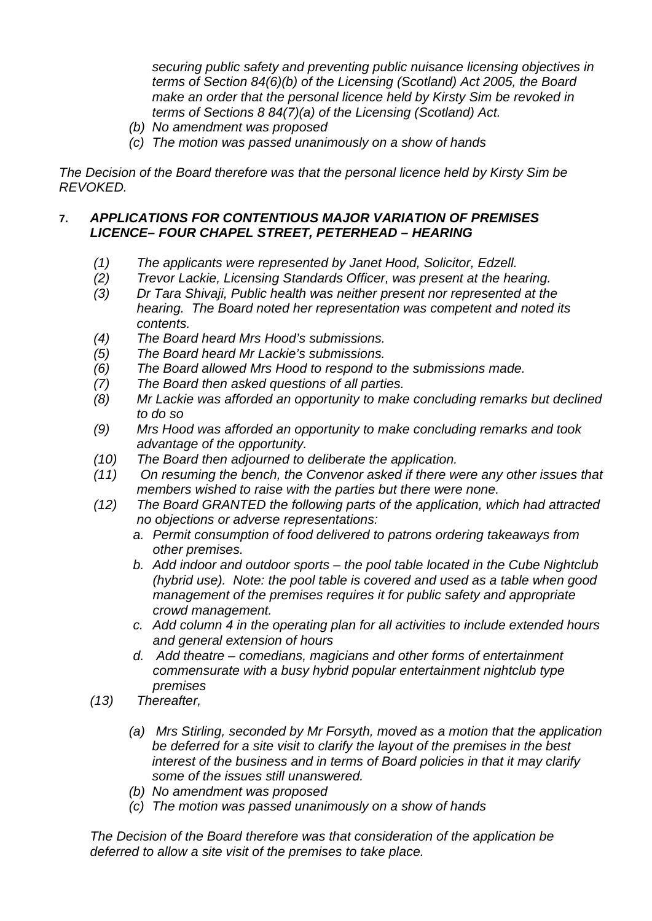*securing public safety and preventing public nuisance licensing objectives in terms of Section 84(6)(b) of the Licensing (Scotland) Act 2005, the Board make an order that the personal licence held by Kirsty Sim be revoked in terms of Sections 8 84(7)(a) of the Licensing (Scotland) Act.* 

- *(b) No amendment was proposed*
- *(c) The motion was passed unanimously on a show of hands*

*The Decision of the Board therefore was that the personal licence held by Kirsty Sim be REVOKED.*

## **7.** *APPLICATIONS FOR CONTENTIOUS MAJOR VARIATION OF PREMISES LICENCE– FOUR CHAPEL STREET, PETERHEAD – HEARING*

- *(1) The applicants were represented by Janet Hood, Solicitor, Edzell.*
- *(2) Trevor Lackie, Licensing Standards Officer, was present at the hearing.*
- *(3) Dr Tara Shivaji, Public health was neither present nor represented at the hearing. The Board noted her representation was competent and noted its contents.*
- *(4) The Board heard Mrs Hood's submissions.*
- *(5) The Board heard Mr Lackie's submissions.*
- *(6) The Board allowed Mrs Hood to respond to the submissions made.*
- *(7) The Board then asked questions of all parties.*
- *(8) Mr Lackie was afforded an opportunity to make concluding remarks but declined to do so*
- *(9) Mrs Hood was afforded an opportunity to make concluding remarks and took advantage of the opportunity.*
- *(10) The Board then adjourned to deliberate the application.*
- *(11) On resuming the bench, the Convenor asked if there were any other issues that members wished to raise with the parties but there were none.*
- *(12) The Board GRANTED the following parts of the application, which had attracted no objections or adverse representations:* 
	- *a. Permit consumption of food delivered to patrons ordering takeaways from other premises.*
	- *b. Add indoor and outdoor sports the pool table located in the Cube Nightclub (hybrid use). Note: the pool table is covered and used as a table when good management of the premises requires it for public safety and appropriate crowd management.*
	- *c. Add column 4 in the operating plan for all activities to include extended hours and general extension of hours*
	- *d. Add theatre comedians, magicians and other forms of entertainment commensurate with a busy hybrid popular entertainment nightclub type premises*
- *(13) Thereafter,* 
	- *(a) Mrs Stirling, seconded by Mr Forsyth, moved as a motion that the application be deferred for a site visit to clarify the layout of the premises in the best interest of the business and in terms of Board policies in that it may clarify some of the issues still unanswered.*
	- *(b) No amendment was proposed*
	- *(c) The motion was passed unanimously on a show of hands*

*The Decision of the Board therefore was that consideration of the application be deferred to allow a site visit of the premises to take place.*